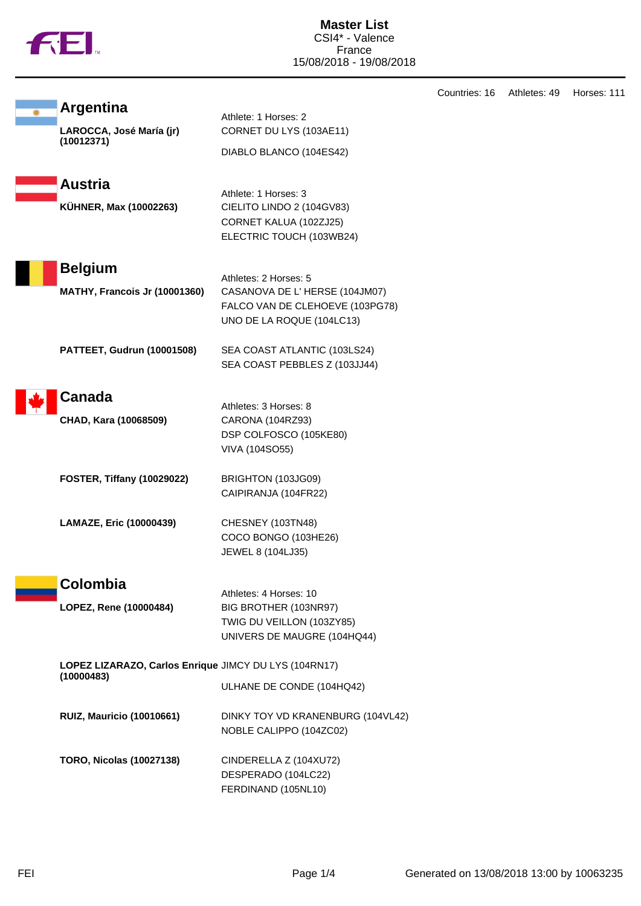

|                                                                     |                                                                                                                        | Countries: 16 | Athletes: 49 | Horses: 111 |
|---------------------------------------------------------------------|------------------------------------------------------------------------------------------------------------------------|---------------|--------------|-------------|
| <b>Argentina</b><br>LAROCCA, José María (jr)<br>(10012371)          | Athlete: 1 Horses: 2<br>CORNET DU LYS (103AE11)<br>DIABLO BLANCO (104ES42)                                             |               |              |             |
| <b>Austria</b><br>KÜHNER, Max (10002263)                            | Athlete: 1 Horses: 3<br>CIELITO LINDO 2 (104GV83)<br>CORNET KALUA (102ZJ25)<br>ELECTRIC TOUCH (103WB24)                |               |              |             |
| <b>Belgium</b><br>MATHY, Francois Jr (10001360)                     | Athletes: 2 Horses: 5<br>CASANOVA DE L'HERSE (104JM07)<br>FALCO VAN DE CLEHOEVE (103PG78)<br>UNO DE LA ROQUE (104LC13) |               |              |             |
| PATTEET, Gudrun (10001508)                                          | SEA COAST ATLANTIC (103LS24)<br>SEA COAST PEBBLES Z (103JJ44)                                                          |               |              |             |
| <b>Canada</b><br>CHAD, Kara (10068509)                              | Athletes: 3 Horses: 8<br>CARONA (104RZ93)<br>DSP COLFOSCO (105KE80)<br><b>VIVA (104SO55)</b>                           |               |              |             |
| <b>FOSTER, Tiffany (10029022)</b>                                   | BRIGHTON (103JG09)<br>CAIPIRANJA (104FR22)                                                                             |               |              |             |
| LAMAZE, Eric (10000439)                                             | CHESNEY (103TN48)<br>COCO BONGO (103HE26)<br>JEWEL 8 (104LJ35)                                                         |               |              |             |
| Colombia                                                            | Athletes: 4 Horses: 10                                                                                                 |               |              |             |
| LOPEZ, Rene (10000484)                                              | BIG BROTHER (103NR97)<br>TWIG DU VEILLON (103ZY85)<br>UNIVERS DE MAUGRE (104HQ44)                                      |               |              |             |
| LOPEZ LIZARAZO, Carlos Enrique JIMCY DU LYS (104RN17)<br>(10000483) | ULHANE DE CONDE (104HQ42)                                                                                              |               |              |             |
| <b>RUIZ, Mauricio (10010661)</b>                                    | DINKY TOY VD KRANENBURG (104VL42)<br>NOBLE CALIPPO (104ZC02)                                                           |               |              |             |
| <b>TORO, Nicolas (10027138)</b>                                     | CINDERELLA Z (104XU72)<br>DESPERADO (104LC22)<br>FERDINAND (105NL10)                                                   |               |              |             |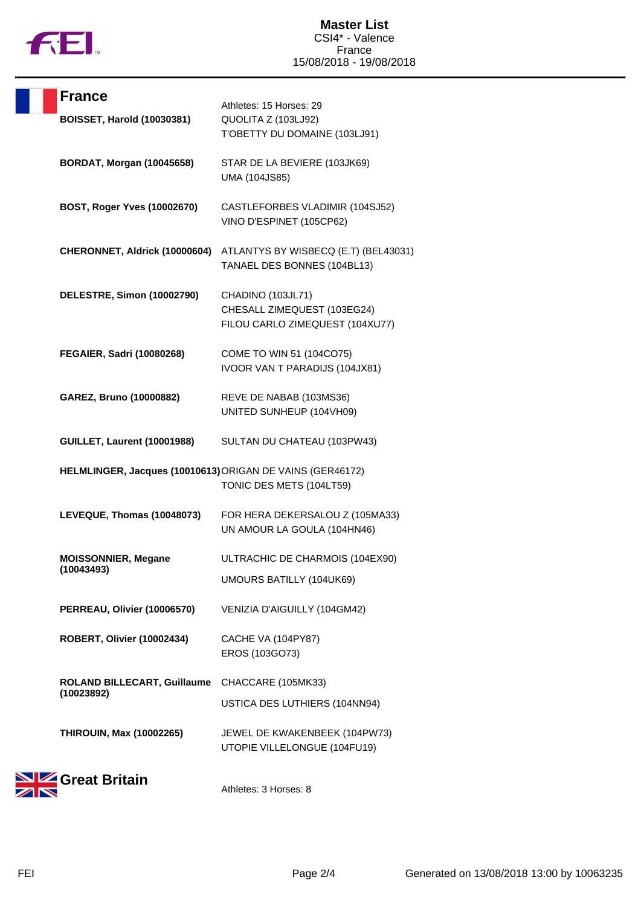

|      | <b>France</b>                                             | Athletes: 15 Horses: 29                                                             |
|------|-----------------------------------------------------------|-------------------------------------------------------------------------------------|
|      | <b>BOISSET, Harold (10030381)</b>                         | QUOLITA Z (103LJ92)<br>T'OBETTY DU DOMAINE (103LJ91)                                |
|      | <b>BORDAT, Morgan (10045658)</b>                          | STAR DE LA BEVIERE (103JK69)<br>UMA (104JS85)                                       |
|      | BOST, Roger Yves (10002670)                               | CASTLEFORBES VLADIMIR (104SJ52)<br>VINO D'ESPINET (105CP62)                         |
|      | CHERONNET, Aldrick (10000604)                             | ATLANTYS BY WISBECQ (E.T) (BEL43031)<br>TANAEL DES BONNES (104BL13)                 |
|      | DELESTRE, Simon (10002790)                                | CHADINO (103JL71)<br>CHESALL ZIMEQUEST (103EG24)<br>FILOU CARLO ZIMEQUEST (104XU77) |
|      | FEGAIER, Sadri (10080268)                                 | COME TO WIN 51 (104CO75)<br>IVOOR VAN T PARADIJS (104JX81)                          |
|      | GAREZ, Bruno (10000882)                                   | REVE DE NABAB (103MS36)<br>UNITED SUNHEUP (104VH09)                                 |
|      | GUILLET, Laurent (10001988)                               | SULTAN DU CHATEAU (103PW43)                                                         |
|      | HELMLINGER, Jacques (10010613) ORIGAN DE VAINS (GER46172) | TONIC DES METS (104LT59)                                                            |
|      | LEVEQUE, Thomas (10048073)                                | FOR HERA DEKERSALOU Z (105MA33)<br>UN AMOUR LA GOULA (104HN46)                      |
|      | <b>MOISSONNIER, Megane</b><br>(10043493)                  | ULTRACHIC DE CHARMOIS (104EX90)                                                     |
|      |                                                           | UMOURS BATILLY (104UK69)                                                            |
|      | PERREAU, Olivier (10006570)                               | VENIZIA D'AIGUILLY (104GM42)                                                        |
|      | ROBERT, Olivier (10002434)                                | CACHE VA (104PY87)<br>EROS (103GO73)                                                |
|      | ROLAND BILLECART, Guillaume<br>(10023892)                 | CHACCARE (105MK33)                                                                  |
|      |                                                           | USTICA DES LUTHIERS (104NN94)                                                       |
|      | <b>THIROUIN, Max (10002265)</b>                           | JEWEL DE KWAKENBEEK (104PW73)<br>UTOPIE VILLELONGUE (104FU19)                       |
| 88 H |                                                           |                                                                                     |



Athletes: 3 Horses: 8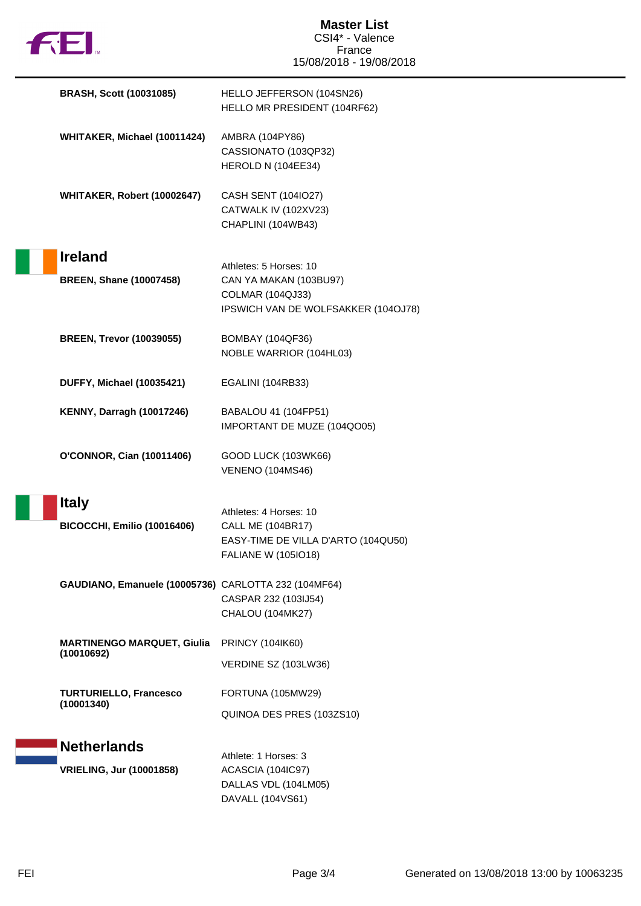

**Master List** CSI4\* - Valence France 15/08/2018 - 19/08/2018

| <b>BRASH, Scott (10031085)</b>                       | HELLO JEFFERSON (104SN26)<br>HELLO MR PRESIDENT (104RF62)                                                               |
|------------------------------------------------------|-------------------------------------------------------------------------------------------------------------------------|
| WHITAKER, Michael (10011424)                         | AMBRA (104PY86)<br>CASSIONATO (103QP32)<br>HEROLD N (104EE34)                                                           |
| WHITAKER, Robert (10002647)                          | CASH SENT (104IO27)<br>CATWALK IV (102XV23)<br>CHAPLINI (104WB43)                                                       |
| <b>Ireland</b><br><b>BREEN, Shane (10007458)</b>     | Athletes: 5 Horses: 10<br>CAN YA MAKAN (103BU97)<br><b>COLMAR (104QJ33)</b><br>IPSWICH VAN DE WOLFSAKKER (104OJ78)      |
| <b>BREEN, Trevor (10039055)</b>                      | <b>BOMBAY (104QF36)</b><br>NOBLE WARRIOR (104HL03)                                                                      |
| <b>DUFFY, Michael (10035421)</b>                     | EGALINI (104RB33)                                                                                                       |
| <b>KENNY, Darragh (10017246)</b>                     | BABALOU 41 (104FP51)<br>IMPORTANT DE MUZE (104QO05)                                                                     |
| <b>O'CONNOR, Cian (10011406)</b>                     | GOOD LUCK (103WK66)<br><b>VENENO (104MS46)</b>                                                                          |
| <b>Italy</b><br><b>BICOCCHI, Emilio (10016406)</b>   | Athletes: 4 Horses: 10<br><b>CALL ME (104BR17)</b><br>EASY-TIME DE VILLA D'ARTO (104QU50)<br><b>FALIANE W (105IO18)</b> |
| GAUDIANO, Emanuele (10005736) CARLOTTA 232 (104MF64) | CASPAR 232 (103IJ54)<br>CHALOU (104MK27)                                                                                |
| <b>MARTINENGO MARQUET, Giulia</b><br>(10010692)      | <b>PRINCY (104IK60)</b>                                                                                                 |
|                                                      | VERDINE SZ (103LW36)                                                                                                    |
| <b>TURTURIELLO, Francesco</b><br>(10001340)          | FORTUNA (105MW29)                                                                                                       |
|                                                      | QUINOA DES PRES (103ZS10)                                                                                               |
| <b>Netherlands</b>                                   | Athlete: 1 Horses: 3                                                                                                    |
| <b>VRIELING, Jur (10001858)</b>                      | ACASCIA (104IC97)<br>DALLAS VDL (104LM05)<br>DAVALL (104VS61)                                                           |